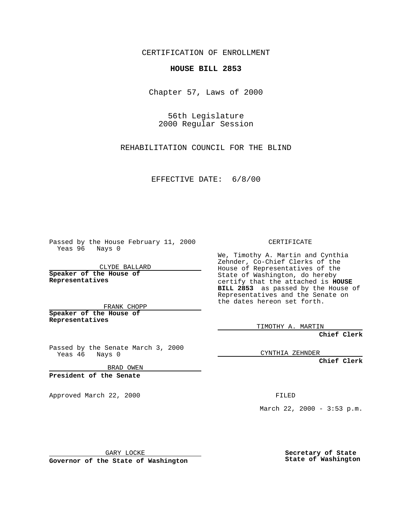CERTIFICATION OF ENROLLMENT

## **HOUSE BILL 2853**

Chapter 57, Laws of 2000

56th Legislature 2000 Regular Session

REHABILITATION COUNCIL FOR THE BLIND

EFFECTIVE DATE: 6/8/00

Passed by the House February 11, 2000 Yeas 96 Nays 0

CLYDE BALLARD **Speaker of the House of Representatives**

FRANK CHOPP **Speaker of the House of**

**Representatives**

Passed by the Senate March 3, 2000 Yeas 46 Nays 0

BRAD OWEN

**President of the Senate**

Approved March 22, 2000 FILED

CERTIFICATE

We, Timothy A. Martin and Cynthia Zehnder, Co-Chief Clerks of the House of Representatives of the State of Washington, do hereby certify that the attached is **HOUSE BILL 2853** as passed by the House of Representatives and the Senate on the dates hereon set forth.

TIMOTHY A. MARTIN

**Chief Clerk**

CYNTHIA ZEHNDER

**Chief Clerk**

March 22, 2000 - 3:53 p.m.

GARY LOCKE

**Governor of the State of Washington**

**Secretary of State State of Washington**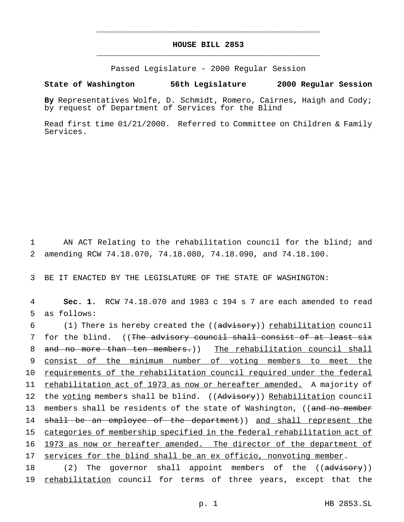## **HOUSE BILL 2853** \_\_\_\_\_\_\_\_\_\_\_\_\_\_\_\_\_\_\_\_\_\_\_\_\_\_\_\_\_\_\_\_\_\_\_\_\_\_\_\_\_\_\_\_\_\_\_

\_\_\_\_\_\_\_\_\_\_\_\_\_\_\_\_\_\_\_\_\_\_\_\_\_\_\_\_\_\_\_\_\_\_\_\_\_\_\_\_\_\_\_\_\_\_\_

Passed Legislature - 2000 Regular Session

## **State of Washington 56th Legislature 2000 Regular Session**

**By** Representatives Wolfe, D. Schmidt, Romero, Cairnes, Haigh and Cody; by request of Department of Services for the Blind

Read first time 01/21/2000. Referred to Committee on Children & Family Services.

1 AN ACT Relating to the rehabilitation council for the blind; and 2 amending RCW 74.18.070, 74.18.080, 74.18.090, and 74.18.100.

3 BE IT ENACTED BY THE LEGISLATURE OF THE STATE OF WASHINGTON:

4 **Sec. 1.** RCW 74.18.070 and 1983 c 194 s 7 are each amended to read 5 as follows:

6 (1) There is hereby created the ((advisory)) rehabilitation council 7 for the blind. ((The advisory council shall consist of at least six 8 and no more than ten members.)) The rehabilitation council shall 9 consist of the minimum number of voting members to meet the 10 requirements of the rehabilitation council required under the federal 11 rehabilitation act of 1973 as now or hereafter amended. A majority of 12 the voting members shall be blind. ((Advisory)) Rehabilitation council 13 members shall be residents of the state of Washington, ((and no member 14 shall be an employee of the department)) and shall represent the 15 categories of membership specified in the federal rehabilitation act of 16 1973 as now or hereafter amended. The director of the department of 17 services for the blind shall be an ex officio, nonvoting member.

18 (2) The governor shall appoint members of the ((advisory)) 19 rehabilitation council for terms of three years, except that the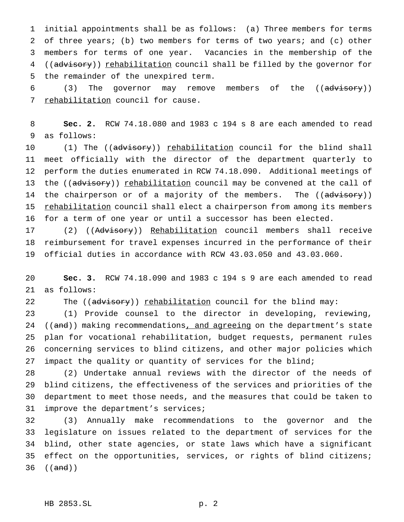initial appointments shall be as follows: (a) Three members for terms of three years; (b) two members for terms of two years; and (c) other members for terms of one year. Vacancies in the membership of the 4 ((advisory)) rehabilitation council shall be filled by the governor for the remainder of the unexpired term.

6 (3) The governor may remove members of the ((advisory)) 7 rehabilitation council for cause.

 **Sec. 2.** RCW 74.18.080 and 1983 c 194 s 8 are each amended to read as follows:

10 (1) The ((advisory)) <u>rehabilitation</u> council for the blind shall meet officially with the director of the department quarterly to perform the duties enumerated in RCW 74.18.090. Additional meetings of 13 the ((advisory)) rehabilitation council may be convened at the call of 14 the chairperson or of a majority of the members. The ((advisory)) 15 rehabilitation council shall elect a chairperson from among its members for a term of one year or until a successor has been elected.

17 (2) ((Advisory)) Rehabilitation council members shall receive reimbursement for travel expenses incurred in the performance of their official duties in accordance with RCW 43.03.050 and 43.03.060.

 **Sec. 3.** RCW 74.18.090 and 1983 c 194 s 9 are each amended to read as follows:

22 The ((advisory)) rehabilitation council for the blind may:

 (1) Provide counsel to the director in developing, reviewing, 24 ((and)) making recommendations, and agreeing on the department's state plan for vocational rehabilitation, budget requests, permanent rules concerning services to blind citizens, and other major policies which 27 impact the quality or quantity of services for the blind;

 (2) Undertake annual reviews with the director of the needs of blind citizens, the effectiveness of the services and priorities of the department to meet those needs, and the measures that could be taken to improve the department's services;

 (3) Annually make recommendations to the governor and the legislature on issues related to the department of services for the blind, other state agencies, or state laws which have a significant effect on the opportunities, services, or rights of blind citizens; ((and))